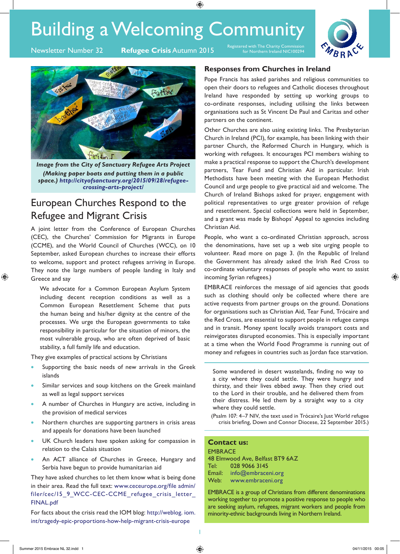# Building a Welcoming Community

⊕

**Newsletter Number 32** 

Registered with The Charity Commission **Refugee Crisis** Autumn 2015 Registered with The Charity Commission **Refugee Crisis** Autumn 2015





*Image from the City of Sanctuary Refugee Arts Project (Making paper boats and putting them in a public space.) http://cityofsanctuary.org/2015/09/28/refugeecrossing-arts-project/*

# European Churches Respond to the Refugee and Migrant Crisis

A joint letter from the Conference of European Churches (CEC), the Churches' Commission for Migrants in Europe (CCME), and the World Council of Churches (WCC), on 10 September, asked European churches to increase their efforts to welcome, support and protect refugees arriving in Europe. They note the large numbers of people landing in Italy and Greece and say

We advocate for a Common European Asylum System including decent reception conditions as well as a Common European Resettlement Scheme that puts the human being and his/her dignity at the centre of the processes. We urge the European governments to take responsibility in particular for the situation of minors, the most vulnerable group, who are often deprived of basic stability, a full family life and education.

They give examples of practical actions by Christians

- Supporting the basic needs of new arrivals in the Greek islands
- Similar services and soup kitchens on the Greek mainland as well as legal support services
- A number of Churches in Hungary are active, including in the provision of medical services
- Northern churches are supporting partners in crisis areas and appeals for donations have been launched
- UK Church leaders have spoken asking for compassion in relation to the Calais situation
- An ACT alliance of Churches in Greece, Hungary and Serbia have begun to provide humanitarian aid

They have asked churches to let them know what is being done in their area. Read the full text: www.ceceurope.org/file admin/ filer/cec/15\_9\_WCC-CEC-CCME\_refugee\_crisis\_letter\_ FINAL.pdf

For facts about the crisis read the IOM blog: http://weblog. iom. int/tragedy-epic-proportions-how-help-migrant-crisis-europe

### **Responses from Churches in Ireland**

Pope Francis has asked parishes and religious communities to open their doors to refugees and Catholic dioceses throughout Ireland have responded by setting up working groups to co-ordinate responses, including utilising the links between organisations such as St Vincent De Paul and Caritas and other partners on the continent.

Other Churches are also using existing links. The Presbyterian Church in Ireland (PCI), for example, has been linking with their partner Church, the Reformed Church in Hungary, which is working with refugees. It encourages PCI members wishing to make a practical response to support the Church's development partners, Tear Fund and Christian Aid in particular. Irish Methodists have been meeting with the European Methodist Council and urge people to give practical aid and welcome. The Church of Ireland Bishops asked for prayer, engagement with political representatives to urge greater provision of refuge and resettlement. Special collections were held in September, and a grant was made by Bishops' Appeal to agencies including Christian Aid.

People, who want a co-ordinated Christian approach, across the denominations, have set up a web site urging people to volunteer. Read more on page 3. (In the Republic of Ireland the Government has already asked the Irish Red Cross to co-ordinate voluntary responses of people who want to assist incoming Syrian refugees.)

EMBRACE reinforces the message of aid agencies that goods such as clothing should only be collected where there are active requests from partner groups on the ground. Donations for organisations such as Christian Aid, Tear Fund, Trócaire and the Red Cross, are essential to support people in refugee camps and in transit. Money spent locally avoids transport costs and reinvigorates disrupted economies. This is especially important at a time when the World Food Programme is running out of money and refugees in countries such as Jordan face starvation.

Some wandered in desert wastelands, finding no way to a city where they could settle. They were hungry and thirsty, and their lives ebbed away. Then they cried out to the Lord in their trouble, and he delivered them from their distress. He led them by a straight way to a city where they could settle.

(Psalm 107: 4–7 NIV, the text used in Trócaire's Just World refugee crisis briefing, Down and Connor Diocese, 22 September 2015.)

#### **Contact us:**

| <b>EMBRACE</b> |                                 |
|----------------|---------------------------------|
|                | 48 Elmwood Ave, Belfast BT9 6AZ |
| Tel: I         | 028 9066 3145                   |
| Email:         | info@embraceni.org              |
| Web:           | www.embraceni.org               |

EMBRACE is a group of Christians from different denominations working together to promote a positive response to people who are seeking asylum, refugees, migrant workers and people from minority-ethnic backgrounds living in Northern Ireland.

⊕

1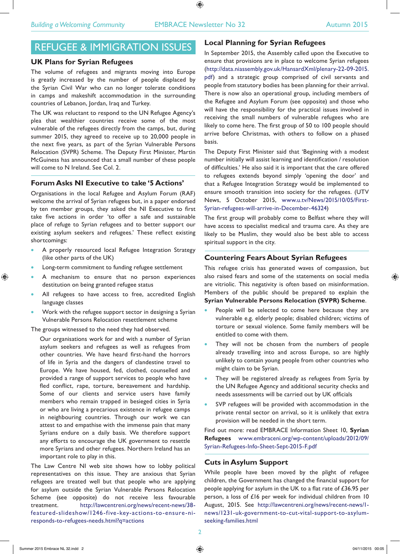⊕

# REFUGEE & IMMIGRATION ISSUES

#### **UK Plans for Syrian Refugees**

The volume of refugees and migrants moving into Europe is greatly increased by the number of people displaced by the Syrian Civil War who can no longer tolerate conditions in camps and makeshift accommodation in the surrounding countries of Lebanon, Jordan, Iraq and Turkey.

The UK was reluctant to respond to the UN Refugee Agency's plea that wealthier countries receive some of the most vulnerable of the refugees directly from the camps, but, during summer 2015, they agreed to receive up to 20,000 people in the next five years, as part of the Syrian Vulnerable Persons Relocation (SVPR) Scheme. The Deputy First Minister, Martin McGuiness has announced that a small number of these people will come to N Ireland. See Col. 2.

#### **Forum Asks NI Executive to take '5 Actions'**

Organisations in the local Refugee and Asylum Forum (RAF) welcome the arrival of Syrian refugees but, in a paper endorsed by ten member groups, they asked the NI Executive to first take five actions in order 'to offer a safe and sustainable place of refuge to Syrian refugees and to better support our existing asylum seekers and refugees.' These reflect existing shortcomings:

- A properly resourced local Refugee Integration Strategy (like other parts of the UK)
- Long-term commitment to funding refugee settlement
- A mechanism to ensure that no person experiences destitution on being granted refugee status
- All refugees to have access to free, accredited English language classes
- Work with the refugee support sector in designing a Syrian Vulnerable Persons Relocation resettlement scheme

The groups witnessed to the need they had observed.

Our organisations work for and with a number of Syrian asylum seekers and refugees as well as refugees from other countries. We have heard first-hand the horrors of life in Syria and the dangers of clandestine travel to Europe. We have housed, fed, clothed, counselled and provided a range of support services to people who have fled conflict, rape, torture, bereavement and hardship. Some of our clients and service users have family members who remain trapped in besieged cities in Syria or who are living a precarious existence in refugee camps in neighbouring countries. Through our work we can attest to and empathise with the immense pain that many Syrians endure on a daily basis. We therefore support any efforts to encourage the UK government to resettle more Syrians and other refugees. Northern Ireland has an important role to play in this.

The Law Centre NI web site shows how to lobby political representatives on this issue. They are anxious that Syrian refugees are treated well but that people who are applying for asylum outside the Syrian Vulnerable Persons Relocation Scheme (see opposite) do not receive less favourable treatment. http://lawcentreni.org/news/recent-news/38 featured-slideshow/1246-five-key-actions-to-ensure-niresponds-to-refugees-needs.html?q=actions

#### **Local Planning for Syrian Refugees**

In September 2015, the Assembly called upon the Executive to ensure that provisions are in place to welcome Syrian refugees (http://data.niassembly.gov.uk/HansardXml/plenary-22-09-2015. pdf) and a strategic group comprised of civil servants and people from statutory bodies has been planning for their arrival. There is now also an operational group, including members of the Refugee and Asylum Forum (see opposite) and those who will have the responsibility for the practical issues involved in receiving the small numbers of vulnerable refugees who are likely to come here. The first group of 50 to 100 people should arrive before Christmas, with others to follow on a phased basis.

The Deputy First Minister said that 'Beginning with a modest number initially will assist learning and identification / resolution of difficulties.' He also said it is important that the care offered to refugees extends beyond simply 'opening the door' and that a Refugee Integration Strategy would be implemented to ensure smooth transition into society for the refugees. (UTV News, 5 October 2015, www.u.tv/News/2015/10/05/First-Syrian-refugees-will-arrive-in-December-46324)

The first group will probably come to Belfast where they will have access to specialist medical and trauma care. As they are likely to be Muslim, they would also be best able to access spiritual support in the city.

## **Countering Fears About Syrian Refugees**

This refugee crisis has generated waves of compassion, but also raised fears and some of the statements on social media are vitriolic. This negativity is often based on misinformation. Members of the public should be prepared to explain the **Syrian Vulnerable Persons Relocation (SVPR) Scheme**.

- People will be selected to come here because they are vulnerable e.g. elderly people; disabled children; victims of torture or sexual violence. Some family members will be entitled to come with them.
- They will not be chosen from the numbers of people already travelling into and across Europe, so are highly unlikely to contain young people from other countries who might claim to be Syrian.
- They will be registered already as refugees from Syria by the UN Refugee Agency and additional security checks and needs assessments will be carried out by UK officials
- SVP refugees will be provided with accommodation in the private rental sector on arrival, so it is unlikely that extra provision will be needed in the short term.

Find out more: read EMBRACE Information Sheet 10, **Syrian Refugees** www.embraceni.org/wp-content/uploads/2012/09/ Syrian-Refugees-Info-Sheet-Sept-2015-F.pdf

#### **Cuts in Asylum Support**

While people have been moved by the plight of refugee children, the Government has changed the financial support for people applying for asylum in the UK to a flat rate of £36.95 per person, a loss of £16 per week for individual children from 10 August, 2015. See http://lawcentreni.org/news/recent-news/1 news/1231-uk-government-to-cut-vital-support-to-asylumseeking-families.html

⊕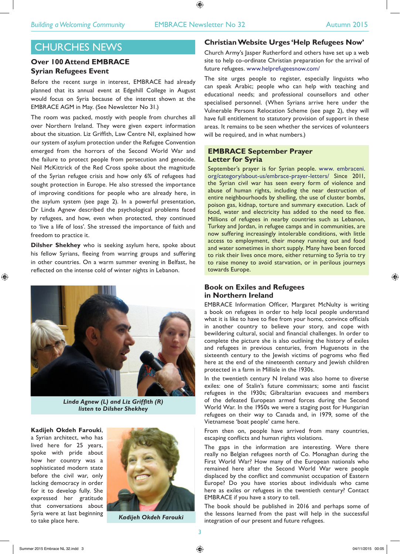⊕

# CHURCHES NEWS

# **Over 100 Attend EMBRACE Syrian Refugees Event**

Before the recent surge in interest, EMBRACE had already planned that its annual event at Edgehill College in August would focus on Syria because of the interest shown at the EMBRACE AGM in May. (See Newsletter No 31.)

The room was packed, mostly with people from churches all over Northern Ireland. They were given expert information about the situation. Liz Griffith, Law Centre NI, explained how our system of asylum protection under the Refugee Convention emerged from the horrors of the Second World War and the failure to protect people from persecution and genocide. Neil McKittrick of the Red Cross spoke about the magnitude of the Syrian refugee crisis and how only 6% of refugees had sought protection in Europe. He also stressed the importance of improving conditions for people who are already here, in the asylum system (see page 2). In a powerful presentation, Dr Linda Agnew described the psychological problems faced by refugees, and how, even when protected, they continued to 'live a life of loss'. She stressed the importance of faith and freedom to practice it.

**Dilsher Shekhey** who is seeking asylum here, spoke about his fellow Syrians, fleeing from warring groups and suffering in other countries. On a warm summer evening in Belfast, he reflected on the intense cold of winter nights in Lebanon.



*Linda Agnew (L) and Liz Griffith (R) listen to Dilsher Shekhey*

**Kadijeh Okdeh Farouki**, a Syrian architect, who has lived here for 25 years, spoke with pride about how her country was a sophisticated modern state before the civil war, only lacking democracy in order for it to develop fully. She expressed her gratitude that conversations about Syria were at last beginning to take place here.



*Kadijeh Okdeh Farouki*

### **Christian Website Urges 'Help Refugees Now'**

Church Army's Jasper Rutherford and others have set up a web site to help co-ordinate Christian preparation for the arrival of future refugees. www.helprefugeesnow.com/

The site urges people to register, especially linguists who can speak Arabic; people who can help with teaching and educational needs; and professional counsellors and other specialised personnel. (When Syrians arrive here under the Vulnerable Persons Relocation Scheme (see page 2), they will have full entitlement to statutory provision of support in these areas. It remains to be seen whether the services of volunteers will be required, and in what numbers.)

#### **EMBRACE September Prayer Letter for Syria**

September's prayer is for Syrian people. www. embraceni. org/category/about-us/embrace-prayer-letters/ Since 2011, the Syrian civil war has seen every form of violence and abuse of human rights, including the near destruction of entire neighbourhoods by shelling, the use of cluster bombs, poison gas, kidnap, torture and summary execution. Lack of food, water and electricity has added to the need to flee. Millions of refugees in nearby countries such as Lebanon, Turkey and Jordan, in refugee camps and in communities, are now suffering increasingly intolerable conditions, with little access to employment, their money running out and food and water sometimes in short supply. Many have been forced to risk their lives once more, either returning to Syria to try to raise money to avoid starvation, or in perilous journeys towards Europe.

### **Book on Exiles and Refugees in Northern Ireland**

EMBRACE Information Officer, Margaret McNulty is writing a book on refugees in order to help local people understand what it is like to have to flee from your home, convince officials in another country to believe your story, and cope with bewildering cultural, social and financial challenges. In order to complete the picture she is also outlining the history of exiles and refugees in previous centuries, from Huguenots in the sixteenth century to the Jewish victims of pogroms who fled here at the end of the nineteenth century and Jewish children protected in a farm in Millisle in the 1930s.

In the twentieth century N Ireland was also home to diverse exiles: one of Stalin's future commissars; some anti fascist refugees in the 1930s; Gibraltarian evacuees and members of the defeated European armed forces during the Second World War. In the 1950s we were a staging post for Hungarian refugees on their way to Canada and, in 1979, some of the Vietnamese 'boat people' came here.

From then on, people have arrived from many countries, escaping conflicts and human rights violations.

The gaps in the information are interesting. Were there really no Belgian refugees north of Co. Monaghan during the First World War? How many of the European nationals who remained here after the Second World War were people displaced by the conflict and communist occupation of Eastern Europe? Do you have stories about individuals who came here as exiles or refugees in the twentieth century? Contact EMBRACE if you have a story to tell.

The book should be published in 2016 and perhaps some of the lessons learned from the past will help in the successful integration of our present and future refugees.

⊕

3